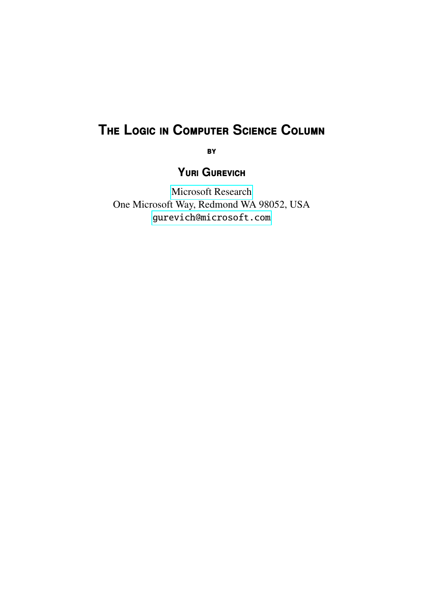# **T**he **L**ogic in **C**omputer **S**cience **C**olumn

**BY** 

**Y**uri **G**urevich

[Microsoft Research](http://research.microsoft.com/) One Microsoft Way, Redmond WA 98052, USA <gurevich@microsoft.com>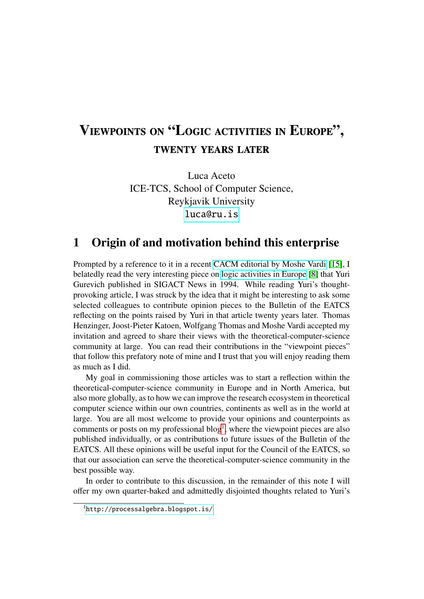## Viewpoints on "Logic activities in Europe", twenty years later

Luca Aceto ICE-TCS, School of Computer Science, Reykjavik University <luca@ru.is>

#### 1 Origin of and motivation behind this enterprise

Prompted by a reference to it in a recent [CACM editorial by Moshe Vardi](http://cacm.acm.org/magazines/2015/8/189832-why-doesnt-acm-have-a-sig-for-theoretical-computer-science/fulltext) [\[15\]](#page-8-0), I belatedly read the very interesting piece on [logic activities in Europe](http://research.microsoft.com/en-us/um/people/gurevich/Opera/105.pdf) [\[8\]](#page-8-1) that Yuri Gurevich published in SIGACT News in 1994. While reading Yuri's thoughtprovoking article, I was struck by the idea that it might be interesting to ask some selected colleagues to contribute opinion pieces to the Bulletin of the EATCS reflecting on the points raised by Yuri in that article twenty years later. Thomas Henzinger, Joost-Pieter Katoen, Wolfgang Thomas and Moshe Vardi accepted my invitation and agreed to share their views with the theoretical-computer-science community at large. You can read their contributions in the "viewpoint pieces" that follow this prefatory note of mine and I trust that you will enjoy reading them as much as I did.

My goal in commissioning those articles was to start a reflection within the theoretical-computer-science community in Europe and in North America, but also more globally, as to how we can improve the research ecosystem in theoretical computer science within our own countries, continents as well as in the world at large. You are all most welcome to provide your opinions and counterpoints as comments or posts on my professional  $blog<sup>1</sup>$  $blog<sup>1</sup>$  $blog<sup>1</sup>$ , where the viewpoint pieces are also published individually, or as contributions to future issues of the Bulletin of the EATCS. All these opinions will be useful input for the Council of the EATCS, so that our association can serve the theoretical-computer-science community in the best possible way.

In order to contribute to this discussion, in the remainder of this note I will offer my own quarter-baked and admittedly disjointed thoughts related to Yuri's

<span id="page-1-0"></span><sup>1</sup><http://processalgebra.blogspot.is/>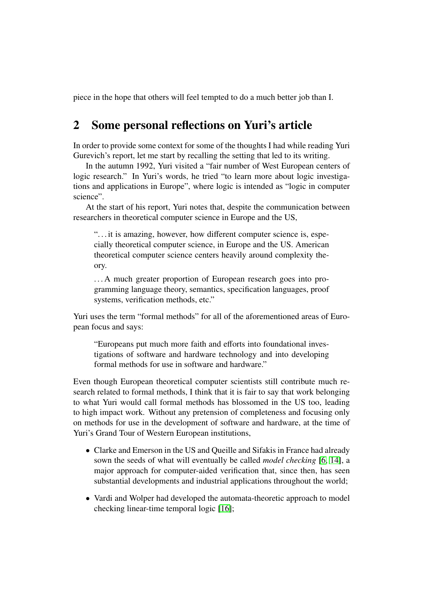piece in the hope that others will feel tempted to do a much better job than I.

### 2 Some personal reflections on Yuri's article

In order to provide some context for some of the thoughts I had while reading Yuri Gurevich's report, let me start by recalling the setting that led to its writing.

In the autumn 1992, Yuri visited a "fair number of West European centers of logic research." In Yuri's words, he tried "to learn more about logic investigations and applications in Europe", where logic is intended as "logic in computer science".

At the start of his report, Yuri notes that, despite the communication between researchers in theoretical computer science in Europe and the US,

"... it is amazing, however, how different computer science is, especially theoretical computer science, in Europe and the US. American theoretical computer science centers heavily around complexity theory.

. . . A much greater proportion of European research goes into programming language theory, semantics, specification languages, proof systems, verification methods, etc."

Yuri uses the term "formal methods" for all of the aforementioned areas of European focus and says:

"Europeans put much more faith and efforts into foundational investigations of software and hardware technology and into developing formal methods for use in software and hardware."

Even though European theoretical computer scientists still contribute much research related to formal methods, I think that it is fair to say that work belonging to what Yuri would call formal methods has blossomed in the US too, leading to high impact work. Without any pretension of completeness and focusing only on methods for use in the development of software and hardware, at the time of Yuri's Grand Tour of Western European institutions,

- Clarke and Emerson in the US and Queille and Sifakis in France had already sown the seeds of what will eventually be called *model checking* [\[6,](#page-7-0) [14\]](#page-8-2), a major approach for computer-aided verification that, since then, has seen substantial developments and industrial applications throughout the world;
- Vardi and Wolper had developed the automata-theoretic approach to model checking linear-time temporal logic [\[16\]](#page-8-3);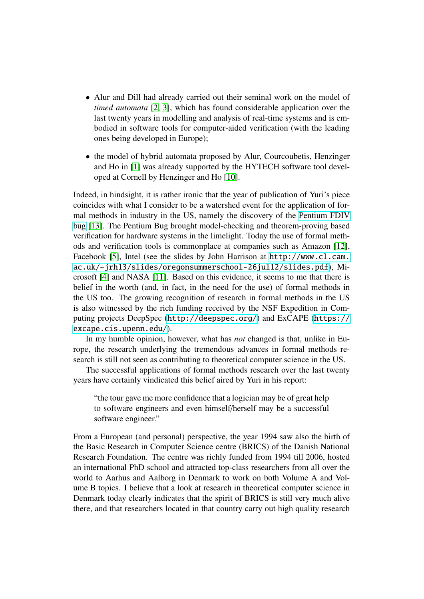- Alur and Dill had already carried out their seminal work on the model of *timed automata* [\[2,](#page-7-1) [3\]](#page-7-2), which has found considerable application over the last twenty years in modelling and analysis of real-time systems and is embodied in software tools for computer-aided verification (with the leading ones being developed in Europe);
- the model of hybrid automata proposed by Alur, Courcoubetis, Henzinger and Ho in [\[1\]](#page-7-3) was already supported by the HYTECH software tool developed at Cornell by Henzinger and Ho [\[10\]](#page-8-4).

Indeed, in hindsight, it is rather ironic that the year of publication of Yuri's piece coincides with what I consider to be a watershed event for the application of formal methods in industry in the US, namely the discovery of the [Pentium FDIV](https://en.wikipedia.org/wiki/Pentium_FDIV_bug) [bug](https://en.wikipedia.org/wiki/Pentium_FDIV_bug) [\[13\]](#page-8-5). The Pentium Bug brought model-checking and theorem-proving based verification for hardware systems in the limelight. Today the use of formal methods and verification tools is commonplace at companies such as Amazon [\[12\]](#page-8-6), Facebook [\[5\]](#page-7-4), Intel (see the slides by John Harrison at [http://www.cl.cam.](http://www.cl.cam.ac.uk/~jrh13/slides/oregonsummerschool-26jul12/slides.pdf) [ac.uk/~jrh13/slides/oregonsummerschool-26jul12/slides.pdf](http://www.cl.cam.ac.uk/~jrh13/slides/oregonsummerschool-26jul12/slides.pdf)), Microsoft [\[4\]](#page-7-5) and NASA [\[11\]](#page-8-7). Based on this evidence, it seems to me that there is belief in the worth (and, in fact, in the need for the use) of formal methods in the US too. The growing recognition of research in formal methods in the US is also witnessed by the rich funding received by the NSF Expedition in Computing projects DeepSpec (<http://deepspec.org/>) and ExCAPE ([https://](https://excape.cis.upenn.edu/) [excape.cis.upenn.edu/](https://excape.cis.upenn.edu/)).

In my humble opinion, however, what has *not* changed is that, unlike in Europe, the research underlying the tremendous advances in formal methods research is still not seen as contributing to theoretical computer science in the US.

The successful applications of formal methods research over the last twenty years have certainly vindicated this belief aired by Yuri in his report:

"the tour gave me more confidence that a logician may be of great help to software engineers and even himself/herself may be a successful software engineer."

From a European (and personal) perspective, the year 1994 saw also the birth of the Basic Research in Computer Science centre (BRICS) of the Danish National Research Foundation. The centre was richly funded from 1994 till 2006, hosted an international PhD school and attracted top-class researchers from all over the world to Aarhus and Aalborg in Denmark to work on both Volume A and Volume B topics. I believe that a look at research in theoretical computer science in Denmark today clearly indicates that the spirit of BRICS is still very much alive there, and that researchers located in that country carry out high quality research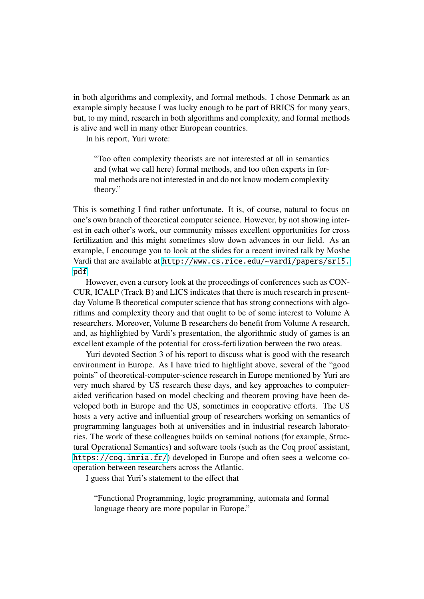in both algorithms and complexity, and formal methods. I chose Denmark as an example simply because I was lucky enough to be part of BRICS for many years, but, to my mind, research in both algorithms and complexity, and formal methods is alive and well in many other European countries.

In his report, Yuri wrote:

"Too often complexity theorists are not interested at all in semantics and (what we call here) formal methods, and too often experts in formal methods are not interested in and do not know modern complexity theory."

This is something I find rather unfortunate. It is, of course, natural to focus on one's own branch of theoretical computer science. However, by not showing interest in each other's work, our community misses excellent opportunities for cross fertilization and this might sometimes slow down advances in our field. As an example, I encourage you to look at the slides for a recent invited talk by Moshe Vardi that are available at [http://www.cs.rice.edu/~vardi/papers/sr15.](http://www.cs.rice.edu/~vardi/papers/sr15.pdf) [pdf](http://www.cs.rice.edu/~vardi/papers/sr15.pdf).

However, even a cursory look at the proceedings of conferences such as CON-CUR, ICALP (Track B) and LICS indicates that there is much research in presentday Volume B theoretical computer science that has strong connections with algorithms and complexity theory and that ought to be of some interest to Volume A researchers. Moreover, Volume B researchers do benefit from Volume A research, and, as highlighted by Vardi's presentation, the algorithmic study of games is an excellent example of the potential for cross-fertilization between the two areas.

Yuri devoted Section 3 of his report to discuss what is good with the research environment in Europe. As I have tried to highlight above, several of the "good points" of theoretical-computer-science research in Europe mentioned by Yuri are very much shared by US research these days, and key approaches to computeraided verification based on model checking and theorem proving have been developed both in Europe and the US, sometimes in cooperative efforts. The US hosts a very active and influential group of researchers working on semantics of programming languages both at universities and in industrial research laboratories. The work of these colleagues builds on seminal notions (for example, Structural Operational Semantics) and software tools (such as the Coq proof assistant, <https://coq.inria.fr/>) developed in Europe and often sees a welcome cooperation between researchers across the Atlantic.

I guess that Yuri's statement to the effect that

"Functional Programming, logic programming, automata and formal language theory are more popular in Europe."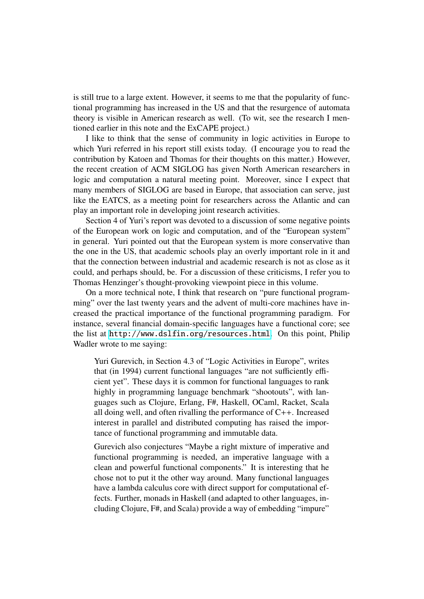is still true to a large extent. However, it seems to me that the popularity of functional programming has increased in the US and that the resurgence of automata theory is visible in American research as well. (To wit, see the research I mentioned earlier in this note and the ExCAPE project.)

I like to think that the sense of community in logic activities in Europe to which Yuri referred in his report still exists today. (I encourage you to read the contribution by Katoen and Thomas for their thoughts on this matter.) However, the recent creation of ACM SIGLOG has given North American researchers in logic and computation a natural meeting point. Moreover, since I expect that many members of SIGLOG are based in Europe, that association can serve, just like the EATCS, as a meeting point for researchers across the Atlantic and can play an important role in developing joint research activities.

Section 4 of Yuri's report was devoted to a discussion of some negative points of the European work on logic and computation, and of the "European system" in general. Yuri pointed out that the European system is more conservative than the one in the US, that academic schools play an overly important role in it and that the connection between industrial and academic research is not as close as it could, and perhaps should, be. For a discussion of these criticisms, I refer you to Thomas Henzinger's thought-provoking viewpoint piece in this volume.

On a more technical note, I think that research on "pure functional programming" over the last twenty years and the advent of multi-core machines have increased the practical importance of the functional programming paradigm. For instance, several financial domain-specific languages have a functional core; see the list at <http://www.dslfin.org/resources.html>. On this point, Philip Wadler wrote to me saying:

Yuri Gurevich, in Section 4.3 of "Logic Activities in Europe", writes that (in 1994) current functional languages "are not sufficiently efficient yet". These days it is common for functional languages to rank highly in programming language benchmark "shootouts", with languages such as Clojure, Erlang, F#, Haskell, OCaml, Racket, Scala all doing well, and often rivalling the performance of C++. Increased interest in parallel and distributed computing has raised the importance of functional programming and immutable data.

Gurevich also conjectures "Maybe a right mixture of imperative and functional programming is needed, an imperative language with a clean and powerful functional components." It is interesting that he chose not to put it the other way around. Many functional languages have a lambda calculus core with direct support for computational effects. Further, monads in Haskell (and adapted to other languages, including Clojure, F#, and Scala) provide a way of embedding "impure"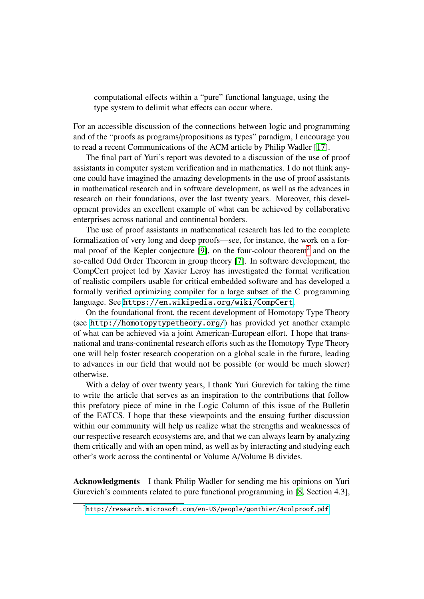computational effects within a "pure" functional language, using the type system to delimit what effects can occur where.

For an accessible discussion of the connections between logic and programming and of the "proofs as programs/propositions as types" paradigm, I encourage you to read a recent Communications of the ACM article by Philip Wadler [\[17\]](#page-8-8).

The final part of Yuri's report was devoted to a discussion of the use of proof assistants in computer system verification and in mathematics. I do not think anyone could have imagined the amazing developments in the use of proof assistants in mathematical research and in software development, as well as the advances in research on their foundations, over the last twenty years. Moreover, this development provides an excellent example of what can be achieved by collaborative enterprises across national and continental borders.

The use of proof assistants in mathematical research has led to the complete formalization of very long and deep proofs—see, for instance, the work on a for-mal proof of the Kepler conjecture [\[9\]](#page-8-9), on the four-colour theorem<sup>[2](#page-6-0)</sup> and on the so-called Odd Order Theorem in group theory [\[7\]](#page-7-6). In software development, the CompCert project led by Xavier Leroy has investigated the formal verification of realistic compilers usable for critical embedded software and has developed a formally verified optimizing compiler for a large subset of the C programming language. See <https://en.wikipedia.org/wiki/CompCert>.

On the foundational front, the recent development of Homotopy Type Theory (see <http://homotopytypetheory.org/>) has provided yet another example of what can be achieved via a joint American-European effort. I hope that transnational and trans-continental research efforts such as the Homotopy Type Theory one will help foster research cooperation on a global scale in the future, leading to advances in our field that would not be possible (or would be much slower) otherwise.

With a delay of over twenty years, I thank Yuri Gurevich for taking the time to write the article that serves as an inspiration to the contributions that follow this prefatory piece of mine in the Logic Column of this issue of the Bulletin of the EATCS. I hope that these viewpoints and the ensuing further discussion within our community will help us realize what the strengths and weaknesses of our respective research ecosystems are, and that we can always learn by analyzing them critically and with an open mind, as well as by interacting and studying each other's work across the continental or Volume A/Volume B divides.

Acknowledgments I thank Philip Wadler for sending me his opinions on Yuri Gurevich's comments related to pure functional programming in [\[8,](#page-8-1) Section 4.3],

<span id="page-6-0"></span><sup>2</sup><http://research.microsoft.com/en-US/people/gonthier/4colproof.pdf>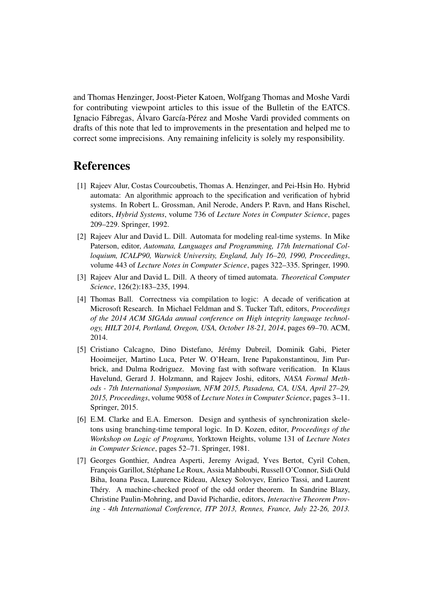and Thomas Henzinger, Joost-Pieter Katoen, Wolfgang Thomas and Moshe Vardi for contributing viewpoint articles to this issue of the Bulletin of the EATCS. Ignacio Fábregas, Álvaro García-Pérez and Moshe Vardi provided comments on drafts of this note that led to improvements in the presentation and helped me to correct some imprecisions. Any remaining infelicity is solely my responsibility.

### **References**

- <span id="page-7-3"></span>[1] Rajeev Alur, Costas Courcoubetis, Thomas A. Henzinger, and Pei-Hsin Ho. Hybrid automata: An algorithmic approach to the specification and verification of hybrid systems. In Robert L. Grossman, Anil Nerode, Anders P. Ravn, and Hans Rischel, editors, *Hybrid Systems*, volume 736 of *Lecture Notes in Computer Science*, pages 209–229. Springer, 1992.
- <span id="page-7-1"></span>[2] Rajeev Alur and David L. Dill. Automata for modeling real-time systems. In Mike Paterson, editor, *Automata, Languages and Programming, 17th International Colloquium, ICALP90, Warwick University, England, July 16–20, 1990, Proceedings*, volume 443 of *Lecture Notes in Computer Science*, pages 322–335. Springer, 1990.
- <span id="page-7-2"></span>[3] Rajeev Alur and David L. Dill. A theory of timed automata. *Theoretical Computer Science*, 126(2):183–235, 1994.
- <span id="page-7-5"></span>[4] Thomas Ball. Correctness via compilation to logic: A decade of verification at Microsoft Research. In Michael Feldman and S. Tucker Taft, editors, *Proceedings of the 2014 ACM SIGAda annual conference on High integrity language technology, HILT 2014, Portland, Oregon, USA, October 18-21, 2014*, pages 69–70. ACM, 2014.
- <span id="page-7-4"></span>[5] Cristiano Calcagno, Dino Distefano, Jérémy Dubreil, Dominik Gabi, Pieter Hooimeijer, Martino Luca, Peter W. O'Hearn, Irene Papakonstantinou, Jim Purbrick, and Dulma Rodriguez. Moving fast with software verification. In Klaus Havelund, Gerard J. Holzmann, and Rajeev Joshi, editors, *NASA Formal Methods - 7th International Symposium, NFM 2015, Pasadena, CA, USA, April 27–29, 2015, Proceedings*, volume 9058 of *Lecture Notes in Computer Science*, pages 3–11. Springer, 2015.
- <span id="page-7-0"></span>[6] E.M. Clarke and E.A. Emerson. Design and synthesis of synchronization skeletons using branching-time temporal logic. In D. Kozen, editor, *Proceedings of the Workshop on Logic of Programs,* Yorktown Heights, volume 131 of *Lecture Notes in Computer Science*, pages 52–71. Springer, 1981.
- <span id="page-7-6"></span>[7] Georges Gonthier, Andrea Asperti, Jeremy Avigad, Yves Bertot, Cyril Cohen, François Garillot, Stéphane Le Roux, Assia Mahboubi, Russell O'Connor, Sidi Ould Biha, Ioana Pasca, Laurence Rideau, Alexey Solovyev, Enrico Tassi, and Laurent Théry. A machine-checked proof of the odd order theorem. In Sandrine Blazy, Christine Paulin-Mohring, and David Pichardie, editors, *Interactive Theorem Proving - 4th International Conference, ITP 2013, Rennes, France, July 22-26, 2013.*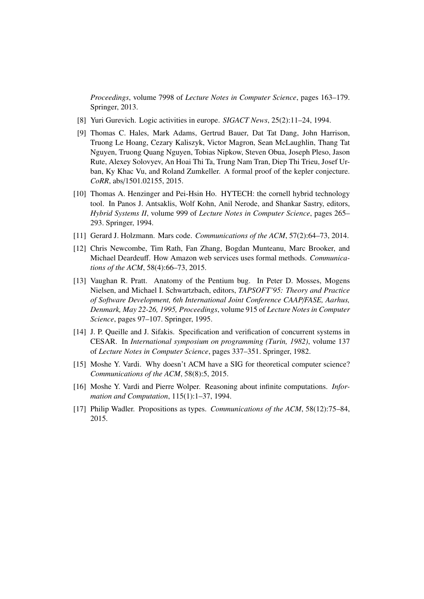*Proceedings*, volume 7998 of *Lecture Notes in Computer Science*, pages 163–179. Springer, 2013.

- <span id="page-8-1"></span>[8] Yuri Gurevich. Logic activities in europe. *SIGACT News*, 25(2):11–24, 1994.
- <span id="page-8-9"></span>[9] Thomas C. Hales, Mark Adams, Gertrud Bauer, Dat Tat Dang, John Harrison, Truong Le Hoang, Cezary Kaliszyk, Victor Magron, Sean McLaughlin, Thang Tat Nguyen, Truong Quang Nguyen, Tobias Nipkow, Steven Obua, Joseph Pleso, Jason Rute, Alexey Solovyev, An Hoai Thi Ta, Trung Nam Tran, Diep Thi Trieu, Josef Urban, Ky Khac Vu, and Roland Zumkeller. A formal proof of the kepler conjecture. *CoRR*, abs/1501.02155, 2015.
- <span id="page-8-4"></span>[10] Thomas A. Henzinger and Pei-Hsin Ho. HYTECH: the cornell hybrid technology tool. In Panos J. Antsaklis, Wolf Kohn, Anil Nerode, and Shankar Sastry, editors, *Hybrid Systems II*, volume 999 of *Lecture Notes in Computer Science*, pages 265– 293. Springer, 1994.
- <span id="page-8-7"></span>[11] Gerard J. Holzmann. Mars code. *Communications of the ACM*, 57(2):64–73, 2014.
- <span id="page-8-6"></span>[12] Chris Newcombe, Tim Rath, Fan Zhang, Bogdan Munteanu, Marc Brooker, and Michael Deardeuff. How Amazon web services uses formal methods. *Communications of the ACM*, 58(4):66–73, 2015.
- <span id="page-8-5"></span>[13] Vaughan R. Pratt. Anatomy of the Pentium bug. In Peter D. Mosses, Mogens Nielsen, and Michael I. Schwartzbach, editors, *TAPSOFT'95: Theory and Practice of Software Development, 6th International Joint Conference CAAP*/*FASE, Aarhus, Denmark, May 22-26, 1995, Proceedings*, volume 915 of *Lecture Notes in Computer Science*, pages 97–107. Springer, 1995.
- <span id="page-8-2"></span>[14] J. P. Queille and J. Sifakis. Specification and verification of concurrent systems in CESAR. In *International symposium on programming (Turin, 1982)*, volume 137 of *Lecture Notes in Computer Science*, pages 337–351. Springer, 1982.
- <span id="page-8-0"></span>[15] Moshe Y. Vardi. Why doesn't ACM have a SIG for theoretical computer science? *Communications of the ACM*, 58(8):5, 2015.
- <span id="page-8-3"></span>[16] Moshe Y. Vardi and Pierre Wolper. Reasoning about infinite computations. *Information and Computation*, 115(1):1–37, 1994.
- <span id="page-8-8"></span>[17] Philip Wadler. Propositions as types. *Communications of the ACM*, 58(12):75–84, 2015.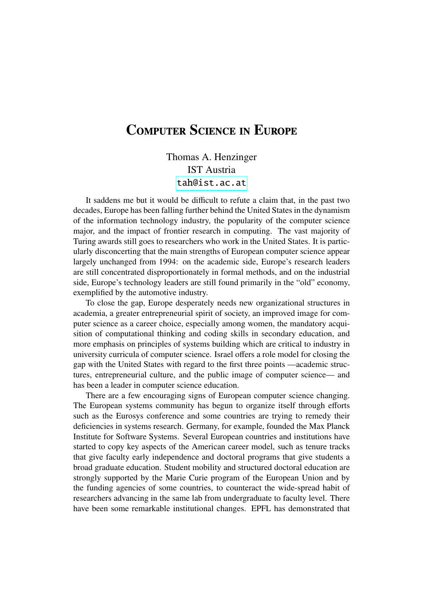### Computer Science in Europe

Thomas A. Henzinger IST Austria <tah@ist.ac.at>

It saddens me but it would be difficult to refute a claim that, in the past two decades, Europe has been falling further behind the United States in the dynamism of the information technology industry, the popularity of the computer science major, and the impact of frontier research in computing. The vast majority of Turing awards still goes to researchers who work in the United States. It is particularly disconcerting that the main strengths of European computer science appear largely unchanged from 1994: on the academic side, Europe's research leaders are still concentrated disproportionately in formal methods, and on the industrial side, Europe's technology leaders are still found primarily in the "old" economy, exemplified by the automotive industry.

To close the gap, Europe desperately needs new organizational structures in academia, a greater entrepreneurial spirit of society, an improved image for computer science as a career choice, especially among women, the mandatory acquisition of computational thinking and coding skills in secondary education, and more emphasis on principles of systems building which are critical to industry in university curricula of computer science. Israel offers a role model for closing the gap with the United States with regard to the first three points —academic structures, entrepreneurial culture, and the public image of computer science— and has been a leader in computer science education.

There are a few encouraging signs of European computer science changing. The European systems community has begun to organize itself through efforts such as the Eurosys conference and some countries are trying to remedy their deficiencies in systems research. Germany, for example, founded the Max Planck Institute for Software Systems. Several European countries and institutions have started to copy key aspects of the American career model, such as tenure tracks that give faculty early independence and doctoral programs that give students a broad graduate education. Student mobility and structured doctoral education are strongly supported by the Marie Curie program of the European Union and by the funding agencies of some countries, to counteract the wide-spread habit of researchers advancing in the same lab from undergraduate to faculty level. There have been some remarkable institutional changes. EPFL has demonstrated that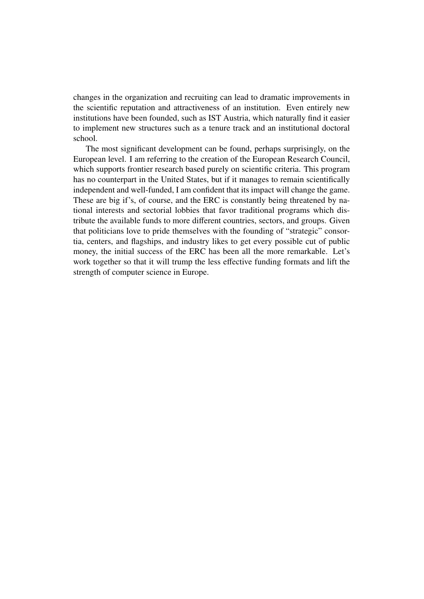changes in the organization and recruiting can lead to dramatic improvements in the scientific reputation and attractiveness of an institution. Even entirely new institutions have been founded, such as IST Austria, which naturally find it easier to implement new structures such as a tenure track and an institutional doctoral school.

The most significant development can be found, perhaps surprisingly, on the European level. I am referring to the creation of the European Research Council, which supports frontier research based purely on scientific criteria. This program has no counterpart in the United States, but if it manages to remain scientifically independent and well-funded, I am confident that its impact will change the game. These are big if's, of course, and the ERC is constantly being threatened by national interests and sectorial lobbies that favor traditional programs which distribute the available funds to more different countries, sectors, and groups. Given that politicians love to pride themselves with the founding of "strategic" consortia, centers, and flagships, and industry likes to get every possible cut of public money, the initial success of the ERC has been all the more remarkable. Let's work together so that it will trump the less effective funding formats and lift the strength of computer science in Europe.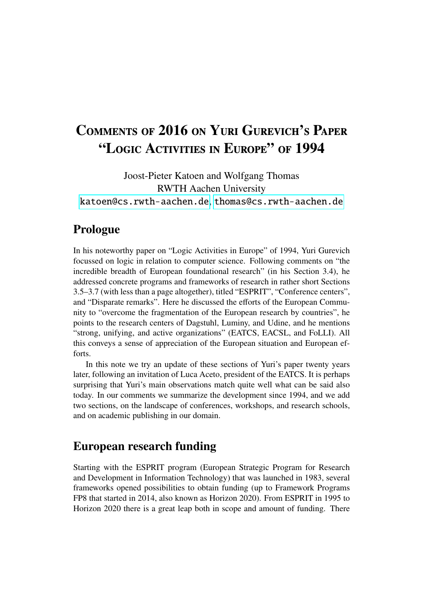## Comments of 2016 on Yuri Gurevich's Paper "Logic Activities in Europe" of 1994

Joost-Pieter Katoen and Wolfgang Thomas RWTH Aachen University <katoen@cs.rwth-aachen.de>, <thomas@cs.rwth-aachen.de>

#### Prologue

In his noteworthy paper on "Logic Activities in Europe" of 1994, Yuri Gurevich focussed on logic in relation to computer science. Following comments on "the incredible breadth of European foundational research" (in his Section 3.4), he addressed concrete programs and frameworks of research in rather short Sections 3.5–3.7 (with less than a page altogether), titled "ESPRIT", "Conference centers", and "Disparate remarks". Here he discussed the efforts of the European Community to "overcome the fragmentation of the European research by countries", he points to the research centers of Dagstuhl, Luminy, and Udine, and he mentions "strong, unifying, and active organizations" (EATCS, EACSL, and FoLLI). All this conveys a sense of appreciation of the European situation and European efforts.

In this note we try an update of these sections of Yuri's paper twenty years later, following an invitation of Luca Aceto, president of the EATCS. It is perhaps surprising that Yuri's main observations match quite well what can be said also today. In our comments we summarize the development since 1994, and we add two sections, on the landscape of conferences, workshops, and research schools, and on academic publishing in our domain.

#### European research funding

Starting with the ESPRIT program (European Strategic Program for Research and Development in Information Technology) that was launched in 1983, several frameworks opened possibilities to obtain funding (up to Framework Programs FP8 that started in 2014, also known as Horizon 2020). From ESPRIT in 1995 to Horizon 2020 there is a great leap both in scope and amount of funding. There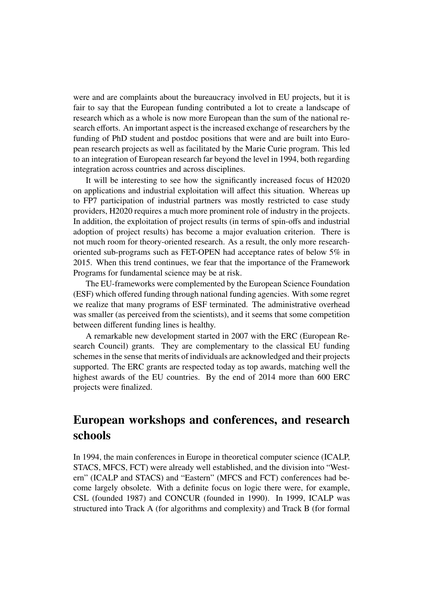were and are complaints about the bureaucracy involved in EU projects, but it is fair to say that the European funding contributed a lot to create a landscape of research which as a whole is now more European than the sum of the national research efforts. An important aspect is the increased exchange of researchers by the funding of PhD student and postdoc positions that were and are built into European research projects as well as facilitated by the Marie Curie program. This led to an integration of European research far beyond the level in 1994, both regarding integration across countries and across disciplines.

It will be interesting to see how the significantly increased focus of H2020 on applications and industrial exploitation will affect this situation. Whereas up to FP7 participation of industrial partners was mostly restricted to case study providers, H2020 requires a much more prominent role of industry in the projects. In addition, the exploitation of project results (in terms of spin-offs and industrial adoption of project results) has become a major evaluation criterion. There is not much room for theory-oriented research. As a result, the only more researchoriented sub-programs such as FET-OPEN had acceptance rates of below 5% in 2015. When this trend continues, we fear that the importance of the Framework Programs for fundamental science may be at risk.

The EU-frameworks were complemented by the European Science Foundation (ESF) which offered funding through national funding agencies. With some regret we realize that many programs of ESF terminated. The administrative overhead was smaller (as perceived from the scientists), and it seems that some competition between different funding lines is healthy.

A remarkable new development started in 2007 with the ERC (European Research Council) grants. They are complementary to the classical EU funding schemes in the sense that merits of individuals are acknowledged and their projects supported. The ERC grants are respected today as top awards, matching well the highest awards of the EU countries. By the end of 2014 more than 600 ERC projects were finalized.

### European workshops and conferences, and research schools

In 1994, the main conferences in Europe in theoretical computer science (ICALP, STACS, MFCS, FCT) were already well established, and the division into "Western" (ICALP and STACS) and "Eastern" (MFCS and FCT) conferences had become largely obsolete. With a definite focus on logic there were, for example, CSL (founded 1987) and CONCUR (founded in 1990). In 1999, ICALP was structured into Track A (for algorithms and complexity) and Track B (for formal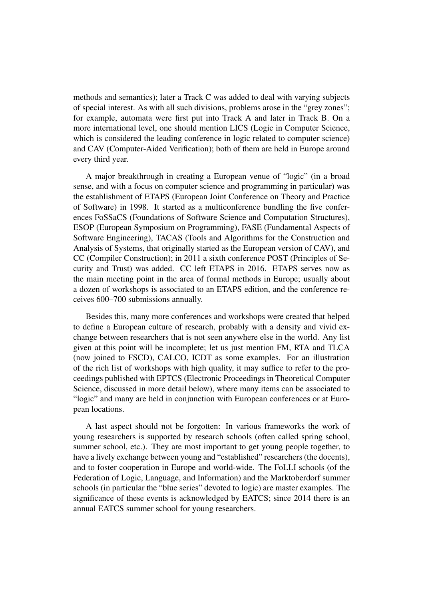methods and semantics); later a Track C was added to deal with varying subjects of special interest. As with all such divisions, problems arose in the "grey zones"; for example, automata were first put into Track A and later in Track B. On a more international level, one should mention LICS (Logic in Computer Science, which is considered the leading conference in logic related to computer science) and CAV (Computer-Aided Verification); both of them are held in Europe around every third year.

A major breakthrough in creating a European venue of "logic" (in a broad sense, and with a focus on computer science and programming in particular) was the establishment of ETAPS (European Joint Conference on Theory and Practice of Software) in 1998. It started as a multiconference bundling the five conferences FoSSaCS (Foundations of Software Science and Computation Structures), ESOP (European Symposium on Programming), FASE (Fundamental Aspects of Software Engineering), TACAS (Tools and Algorithms for the Construction and Analysis of Systems, that originally started as the European version of CAV), and CC (Compiler Construction); in 2011 a sixth conference POST (Principles of Security and Trust) was added. CC left ETAPS in 2016. ETAPS serves now as the main meeting point in the area of formal methods in Europe; usually about a dozen of workshops is associated to an ETAPS edition, and the conference receives 600–700 submissions annually.

Besides this, many more conferences and workshops were created that helped to define a European culture of research, probably with a density and vivid exchange between researchers that is not seen anywhere else in the world. Any list given at this point will be incomplete; let us just mention FM, RTA and TLCA (now joined to FSCD), CALCO, ICDT as some examples. For an illustration of the rich list of workshops with high quality, it may suffice to refer to the proceedings published with EPTCS (Electronic Proceedings in Theoretical Computer Science, discussed in more detail below), where many items can be associated to "logic" and many are held in conjunction with European conferences or at European locations.

A last aspect should not be forgotten: In various frameworks the work of young researchers is supported by research schools (often called spring school, summer school, etc.). They are most important to get young people together, to have a lively exchange between young and "established" researchers (the docents), and to foster cooperation in Europe and world-wide. The FoLLI schools (of the Federation of Logic, Language, and Information) and the Marktoberdorf summer schools (in particular the "blue series" devoted to logic) are master examples. The significance of these events is acknowledged by EATCS; since 2014 there is an annual EATCS summer school for young researchers.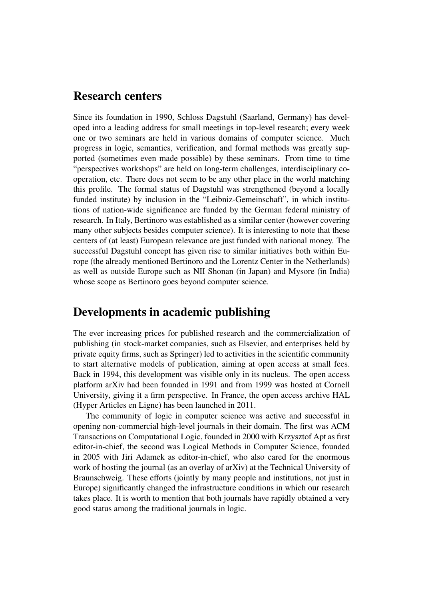#### Research centers

Since its foundation in 1990, Schloss Dagstuhl (Saarland, Germany) has developed into a leading address for small meetings in top-level research; every week one or two seminars are held in various domains of computer science. Much progress in logic, semantics, verification, and formal methods was greatly supported (sometimes even made possible) by these seminars. From time to time "perspectives workshops" are held on long-term challenges, interdisciplinary cooperation, etc. There does not seem to be any other place in the world matching this profile. The formal status of Dagstuhl was strengthened (beyond a locally funded institute) by inclusion in the "Leibniz-Gemeinschaft", in which institutions of nation-wide significance are funded by the German federal ministry of research. In Italy, Bertinoro was established as a similar center (however covering many other subjects besides computer science). It is interesting to note that these centers of (at least) European relevance are just funded with national money. The successful Dagstuhl concept has given rise to similar initiatives both within Europe (the already mentioned Bertinoro and the Lorentz Center in the Netherlands) as well as outside Europe such as NII Shonan (in Japan) and Mysore (in India) whose scope as Bertinoro goes beyond computer science.

#### Developments in academic publishing

The ever increasing prices for published research and the commercialization of publishing (in stock-market companies, such as Elsevier, and enterprises held by private equity firms, such as Springer) led to activities in the scientific community to start alternative models of publication, aiming at open access at small fees. Back in 1994, this development was visible only in its nucleus. The open access platform arXiv had been founded in 1991 and from 1999 was hosted at Cornell University, giving it a firm perspective. In France, the open access archive HAL (Hyper Articles en Ligne) has been launched in 2011.

The community of logic in computer science was active and successful in opening non-commercial high-level journals in their domain. The first was ACM Transactions on Computational Logic, founded in 2000 with Krzysztof Apt as first editor-in-chief, the second was Logical Methods in Computer Science, founded in 2005 with Jiri Adamek as editor-in-chief, who also cared for the enormous work of hosting the journal (as an overlay of arXiv) at the Technical University of Braunschweig. These efforts (jointly by many people and institutions, not just in Europe) significantly changed the infrastructure conditions in which our research takes place. It is worth to mention that both journals have rapidly obtained a very good status among the traditional journals in logic.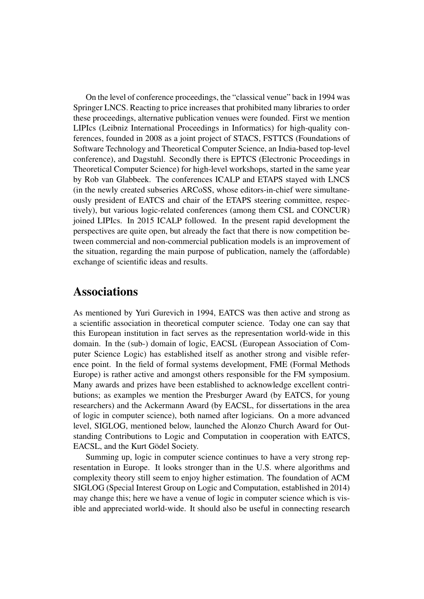On the level of conference proceedings, the "classical venue" back in 1994 was Springer LNCS. Reacting to price increases that prohibited many libraries to order these proceedings, alternative publication venues were founded. First we mention LIPIcs (Leibniz International Proceedings in Informatics) for high-quality conferences, founded in 2008 as a joint project of STACS, FSTTCS (Foundations of Software Technology and Theoretical Computer Science, an India-based top-level conference), and Dagstuhl. Secondly there is EPTCS (Electronic Proceedings in Theoretical Computer Science) for high-level workshops, started in the same year by Rob van Glabbeek. The conferences ICALP and ETAPS stayed with LNCS (in the newly created subseries ARCoSS, whose editors-in-chief were simultaneously president of EATCS and chair of the ETAPS steering committee, respectively), but various logic-related conferences (among them CSL and CONCUR) joined LIPIcs. In 2015 ICALP followed. In the present rapid development the perspectives are quite open, but already the fact that there is now competition between commercial and non-commercial publication models is an improvement of the situation, regarding the main purpose of publication, namely the (affordable) exchange of scientific ideas and results.

#### Associations

As mentioned by Yuri Gurevich in 1994, EATCS was then active and strong as a scientific association in theoretical computer science. Today one can say that this European institution in fact serves as the representation world-wide in this domain. In the (sub-) domain of logic, EACSL (European Association of Computer Science Logic) has established itself as another strong and visible reference point. In the field of formal systems development, FME (Formal Methods Europe) is rather active and amongst others responsible for the FM symposium. Many awards and prizes have been established to acknowledge excellent contributions; as examples we mention the Presburger Award (by EATCS, for young researchers) and the Ackermann Award (by EACSL, for dissertations in the area of logic in computer science), both named after logicians. On a more advanced level, SIGLOG, mentioned below, launched the Alonzo Church Award for Outstanding Contributions to Logic and Computation in cooperation with EATCS, EACSL, and the Kurt Gödel Society.

Summing up, logic in computer science continues to have a very strong representation in Europe. It looks stronger than in the U.S. where algorithms and complexity theory still seem to enjoy higher estimation. The foundation of ACM SIGLOG (Special Interest Group on Logic and Computation, established in 2014) may change this; here we have a venue of logic in computer science which is visible and appreciated world-wide. It should also be useful in connecting research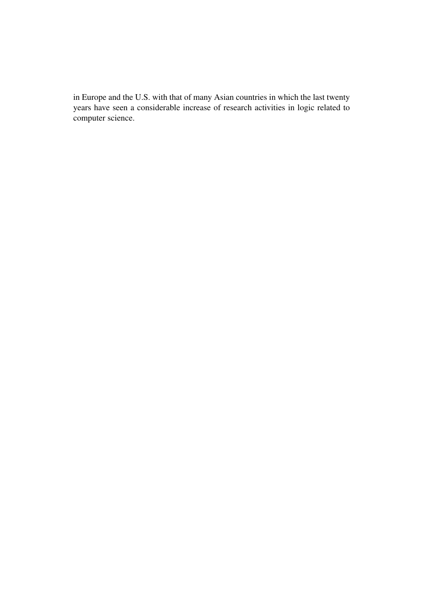in Europe and the U.S. with that of many Asian countries in which the last twenty years have seen a considerable increase of research activities in logic related to computer science.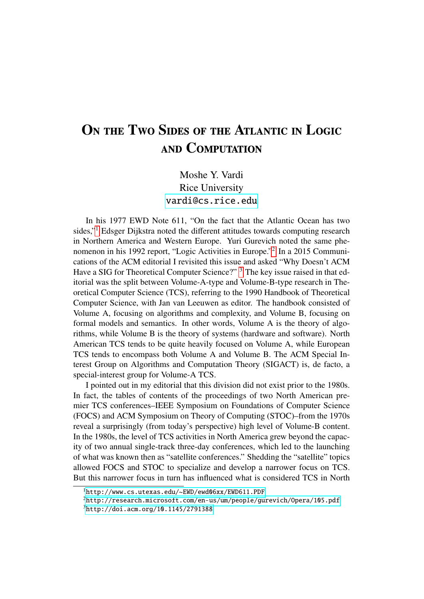## ON THE TWO SIDES OF THE ATLANTIC IN LOGIC and Computation

#### Moshe Y. Vardi Rice University <vardi@cs.rice.edu>

In his 1977 EWD Note 611, "On the fact that the Atlantic Ocean has two sides,"[1](#page-17-0) Edsger Dijkstra noted the different attitudes towards computing research in Northern America and Western Europe. Yuri Gurevich noted the same phenomenon in his 1992 report, "Logic Activities in Europe."[2](#page-17-1) In a 2015 Communications of the ACM editorial I revisited this issue and asked "Why Doesn't ACM Have a SIG for Theoretical Computer Science?" <sup>[3](#page-17-2)</sup> The key issue raised in that editorial was the split between Volume-A-type and Volume-B-type research in Theoretical Computer Science (TCS), referring to the 1990 Handbook of Theoretical Computer Science, with Jan van Leeuwen as editor. The handbook consisted of Volume A, focusing on algorithms and complexity, and Volume B, focusing on formal models and semantics. In other words, Volume A is the theory of algorithms, while Volume B is the theory of systems (hardware and software). North American TCS tends to be quite heavily focused on Volume A, while European TCS tends to encompass both Volume A and Volume B. The ACM Special Interest Group on Algorithms and Computation Theory (SIGACT) is, de facto, a special-interest group for Volume-A TCS.

I pointed out in my editorial that this division did not exist prior to the 1980s. In fact, the tables of contents of the proceedings of two North American premier TCS conferences–IEEE Symposium on Foundations of Computer Science (FOCS) and ACM Symposium on Theory of Computing (STOC)–from the 1970s reveal a surprisingly (from today's perspective) high level of Volume-B content. In the 1980s, the level of TCS activities in North America grew beyond the capacity of two annual single-track three-day conferences, which led to the launching of what was known then as "satellite conferences." Shedding the "satellite" topics allowed FOCS and STOC to specialize and develop a narrower focus on TCS. But this narrower focus in turn has influenced what is considered TCS in North

<span id="page-17-0"></span><sup>1</sup><http://www.cs.utexas.edu/~EWD/ewd06xx/EWD611.PDF>

<span id="page-17-1"></span><sup>2</sup><http://research.microsoft.com/en-us/um/people/gurevich/Opera/105.pdf>

<span id="page-17-2"></span><sup>3</sup><http://doi.acm.org/10.1145/2791388>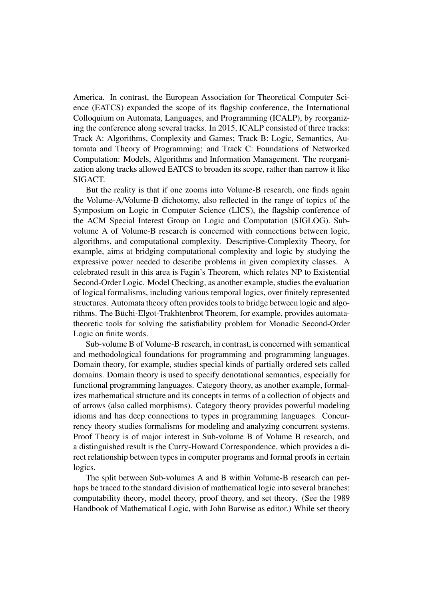America. In contrast, the European Association for Theoretical Computer Science (EATCS) expanded the scope of its flagship conference, the International Colloquium on Automata, Languages, and Programming (ICALP), by reorganizing the conference along several tracks. In 2015, ICALP consisted of three tracks: Track A: Algorithms, Complexity and Games; Track B: Logic, Semantics, Automata and Theory of Programming; and Track C: Foundations of Networked Computation: Models, Algorithms and Information Management. The reorganization along tracks allowed EATCS to broaden its scope, rather than narrow it like SIGACT.

But the reality is that if one zooms into Volume-B research, one finds again the Volume-A/Volume-B dichotomy, also reflected in the range of topics of the Symposium on Logic in Computer Science (LICS), the flagship conference of the ACM Special Interest Group on Logic and Computation (SIGLOG). Subvolume A of Volume-B research is concerned with connections between logic, algorithms, and computational complexity. Descriptive-Complexity Theory, for example, aims at bridging computational complexity and logic by studying the expressive power needed to describe problems in given complexity classes. A celebrated result in this area is Fagin's Theorem, which relates NP to Existential Second-Order Logic. Model Checking, as another example, studies the evaluation of logical formalisms, including various temporal logics, over finitely represented structures. Automata theory often provides tools to bridge between logic and algorithms. The Büchi-Elgot-Trakhtenbrot Theorem, for example, provides automatatheoretic tools for solving the satisfiability problem for Monadic Second-Order Logic on finite words.

Sub-volume B of Volume-B research, in contrast, is concerned with semantical and methodological foundations for programming and programming languages. Domain theory, for example, studies special kinds of partially ordered sets called domains. Domain theory is used to specify denotational semantics, especially for functional programming languages. Category theory, as another example, formalizes mathematical structure and its concepts in terms of a collection of objects and of arrows (also called morphisms). Category theory provides powerful modeling idioms and has deep connections to types in programming languages. Concurrency theory studies formalisms for modeling and analyzing concurrent systems. Proof Theory is of major interest in Sub-volume B of Volume B research, and a distinguished result is the Curry-Howard Correspondence, which provides a direct relationship between types in computer programs and formal proofs in certain logics.

The split between Sub-volumes A and B within Volume-B research can perhaps be traced to the standard division of mathematical logic into several branches: computability theory, model theory, proof theory, and set theory. (See the 1989 Handbook of Mathematical Logic, with John Barwise as editor.) While set theory